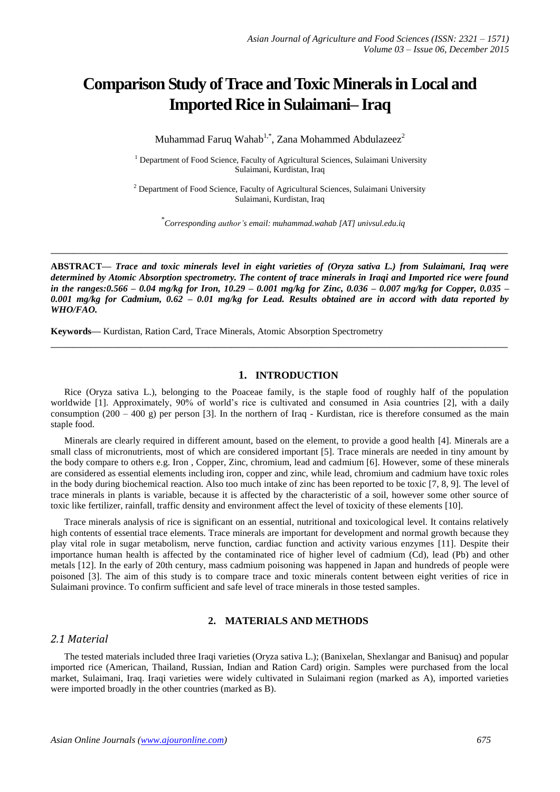# **Comparison Study of Trace and Toxic Minerals in Local and Imported Rice in Sulaimani– Iraq**

Muhammad Faruq Wahab $^{1,*}$ , Zana Mohammed Abdulazeez $^2$ 

<sup>1</sup> Department of Food Science, Faculty of Agricultural Sciences, Sulaimani University Sulaimani, Kurdistan, Iraq

<sup>2</sup> Department of Food Science, Faculty of Agricultural Sciences, Sulaimani University Sulaimani, Kurdistan, Iraq

\* *Corresponding author's email: muhammad.wahab [AT] univsul.edu.iq*

**ABSTRACT—** *Trace and toxic minerals level in eight varieties of (Oryza sativa L.) from Sulaimani, Iraq were determined by Atomic Absorption spectrometry. The content of trace minerals in Iraqi and Imported rice were found in the ranges:0.566 – 0.04 mg/kg for Iron, 10.29 – 0.001 mg/kg for Zinc, 0.036 – 0.007 mg/kg for Copper, 0.035 – 0.001 mg/kg for Cadmium, 0.62 – 0.01 mg/kg for Lead. Results obtained are in accord with data reported by WHO/FAO.*

**\_\_\_\_\_\_\_\_\_\_\_\_\_\_\_\_\_\_\_\_\_\_\_\_\_\_\_\_\_\_\_\_\_\_\_\_\_\_\_\_\_\_\_\_\_\_\_\_\_\_\_\_\_\_\_\_\_\_\_\_\_\_\_\_\_\_\_\_\_\_\_\_\_\_\_\_\_\_\_\_\_**

**\_\_\_\_\_\_\_\_\_\_\_\_\_\_\_\_\_\_\_\_\_\_\_\_\_\_\_\_\_\_\_\_\_\_\_\_\_\_\_\_\_\_\_\_\_\_\_\_\_\_\_\_\_\_\_\_\_\_\_\_\_\_\_\_\_\_\_\_\_\_\_\_\_\_\_\_\_\_\_\_\_**

**Keywords—** Kurdistan, Ration Card, Trace Minerals, Atomic Absorption Spectrometry

### **1. INTRODUCTION**

Rice (Oryza sativa L.), belonging to the Poaceae family, is the staple food of roughly half of the population worldwide [1]. Approximately, 90% of world's rice is cultivated and consumed in Asia countries [2], with a daily consumption  $(200 - 400 \text{ g})$  per person [3]. In the northern of Iraq - Kurdistan, rice is therefore consumed as the main staple food.

Minerals are clearly required in different amount, based on the element, to provide a good health [4]. Minerals are a small class of micronutrients, most of which are considered important [5]. Trace minerals are needed in tiny amount by the body compare to others e.g. Iron , Copper, Zinc, chromium, lead and cadmium [6]. However, some of these minerals are considered as essential elements including iron, copper and zinc, while lead, chromium and cadmium have toxic roles in the body during biochemical reaction. Also too much intake of zinc has been reported to be toxic [7, 8, 9]. The level of trace minerals in plants is variable, because it is affected by the characteristic of a soil, however some other source of toxic like fertilizer, rainfall, traffic density and environment affect the level of toxicity of these elements [10].

Trace minerals analysis of rice is significant on an essential, nutritional and toxicological level. It contains relatively high contents of essential trace elements. Trace minerals are important for development and normal growth because they play vital role in sugar metabolism, nerve function, cardiac function and activity various enzymes [11]. Despite their importance human health is affected by the contaminated rice of higher level of cadmium (Cd), lead (Pb) and other metals [12]. In the early of 20th century, mass cadmium poisoning was happened in Japan and hundreds of people were poisoned [3]. The aim of this study is to compare trace and toxic minerals content between eight verities of rice in Sulaimani province. To confirm sufficient and safe level of trace minerals in those tested samples.

#### **2. MATERIALS AND METHODS**

### *2.1 Material*

The tested materials included three Iraqi varieties (Oryza sativa L.); (Banixelan, Shexlangar and Banisuq) and popular imported rice (American, Thailand, Russian, Indian and Ration Card) origin. Samples were purchased from the local market, Sulaimani, Iraq. Iraqi varieties were widely cultivated in Sulaimani region (marked as A), imported varieties were imported broadly in the other countries (marked as B).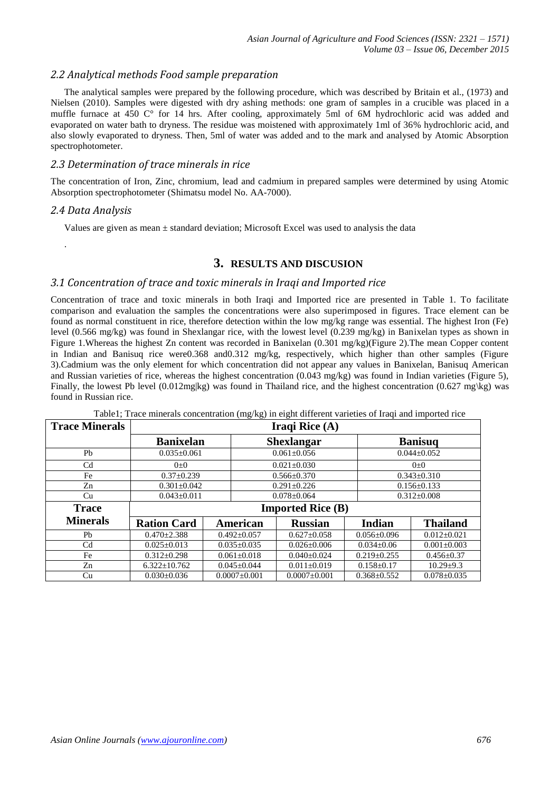# *2.2 Analytical methods Food sample preparation*

The analytical samples were prepared by the following procedure, which was described by Britain et al., (1973) and Nielsen (2010). Samples were digested with dry ashing methods: one gram of samples in a crucible was placed in a muffle furnace at 450 C° for 14 hrs. After cooling, approximately 5ml of 6M hydrochloric acid was added and evaporated on water bath to dryness. The residue was moistened with approximately 1ml of 36% hydrochloric acid, and also slowly evaporated to dryness. Then, 5ml of water was added and to the mark and analysed by Atomic Absorption spectrophotometer.

## *2.3 Determination of trace minerals in rice*

The concentration of Iron, Zinc, chromium, lead and cadmium in prepared samples were determined by using Atomic Absorption spectrophotometer (Shimatsu model No. AA-7000).

## *2.4 Data Analysis*

.

Values are given as mean  $\pm$  standard deviation; Microsoft Excel was used to analysis the data

# **3. RESULTS AND DISCUSION**

# *3.1 Concentration of trace and toxic minerals in Iraqi and Imported rice*

Concentration of trace and toxic minerals in both Iraqi and Imported rice are presented in Table 1. To facilitate comparison and evaluation the samples the concentrations were also superimposed in figures. Trace element can be found as normal constituent in rice, therefore detection within the low mg/kg range was essential. The highest Iron (Fe) level (0.566 mg/kg) was found in Shexlangar rice, with the lowest level (0.239 mg/kg) in Banixelan types as shown in Figure 1.Whereas the highest Zn content was recorded in Banixelan (0.301 mg/kg)(Figure 2).The mean Copper content in Indian and Banisuq rice were0.368 and0.312 mg/kg, respectively, which higher than other samples (Figure 3).Cadmium was the only element for which concentration did not appear any values in Banixelan, Banisuq American and Russian varieties of rice, whereas the highest concentration (0.043 mg/kg) was found in Indian varieties (Figure 5), Finally, the lowest Pb level (0.012mg|kg) was found in Thailand rice, and the highest concentration (0.627 mg\kg) was found in Russian rice.

| <b>Trace Minerals</b> | Iraqi Rice $(A)$         |                    |                   |                    |                   |                   |  |
|-----------------------|--------------------------|--------------------|-------------------|--------------------|-------------------|-------------------|--|
|                       | <b>Banixelan</b>         |                    | <b>Shexlangar</b> |                    | <b>Banisuq</b>    |                   |  |
| Pb                    | $0.035 \pm 0.061$        |                    | $0.061 \pm 0.056$ |                    |                   | $0.044 \pm 0.052$ |  |
| C <sub>d</sub>        | $0+0$                    |                    | $0.021 \pm 0.030$ |                    |                   | $() + ()$         |  |
| Fe                    | $0.37 \pm 0.239$         |                    | $0.566 \pm 0.370$ |                    | $0.343 \pm 0.310$ |                   |  |
| Zn                    | $0.301 \pm 0.042$        |                    | $0.291 \pm 0.226$ |                    |                   | $0.156 \pm 0.133$ |  |
| Cu                    | $0.043 \pm 0.011$        |                    | $0.078 \pm 0.064$ |                    | $0.312 \pm 0.008$ |                   |  |
| <b>Trace</b>          | <b>Imported Rice (B)</b> |                    |                   |                    |                   |                   |  |
| <b>Minerals</b>       | <b>Ration Card</b>       | American           |                   | <b>Russian</b>     | <b>Indian</b>     | <b>Thailand</b>   |  |
| Ph                    | $0.470 \pm 2.388$        | $0.492 + 0.057$    |                   | $0.627 \pm 0.058$  | $0.056 \pm 0.096$ | $0.012 \pm 0.021$ |  |
| C <sub>d</sub>        | $0.025 + 0.013$          | $0.035 + 0.035$    |                   | $0.026 + 0.006$    | $0.034 + 0.06$    | $0.001 \pm 0.003$ |  |
| Fe                    | $0.312 \pm 0.298$        | $0.061 \pm 0.018$  |                   | $0.040 \pm 0.024$  | $0.219 \pm 0.255$ | $0.456 \pm 0.37$  |  |
| Zn                    | $6.322 \pm 10.762$       | $0.045 \pm 0.044$  |                   | $0.011 \pm 0.019$  | $0.158 \pm 0.17$  | $10.29 \pm 9.3$   |  |
| Cu                    | $0.030\pm0.036$          | $0.0007 \pm 0.001$ |                   | $0.0007 \pm 0.001$ | $0.368 \pm 0.552$ | $0.078 \pm 0.035$ |  |

Table1; Trace minerals concentration (mg/kg) in eight different varieties of Iraqi and imported rice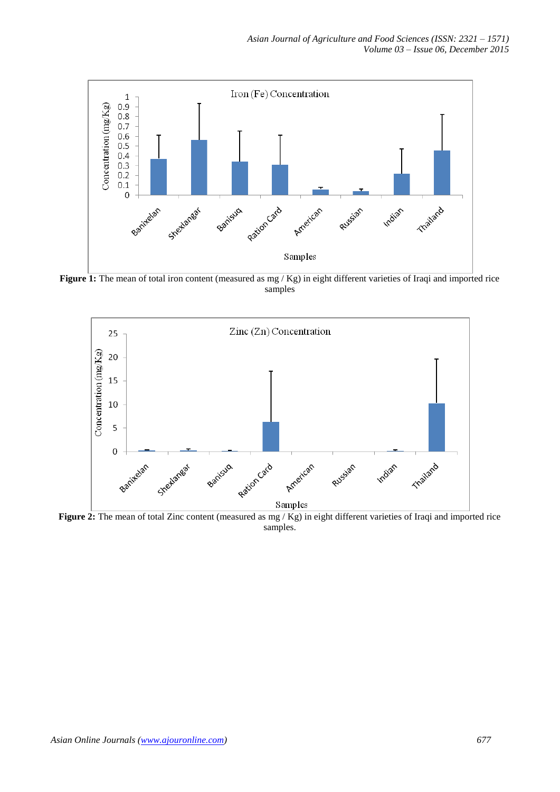

Figure 1: The mean of total iron content (measured as mg / Kg) in eight different varieties of Iraqi and imported rice samples



**Figure 2:** The mean of total Zinc content (measured as mg / Kg) in eight different varieties of Iraqi and imported rice samples.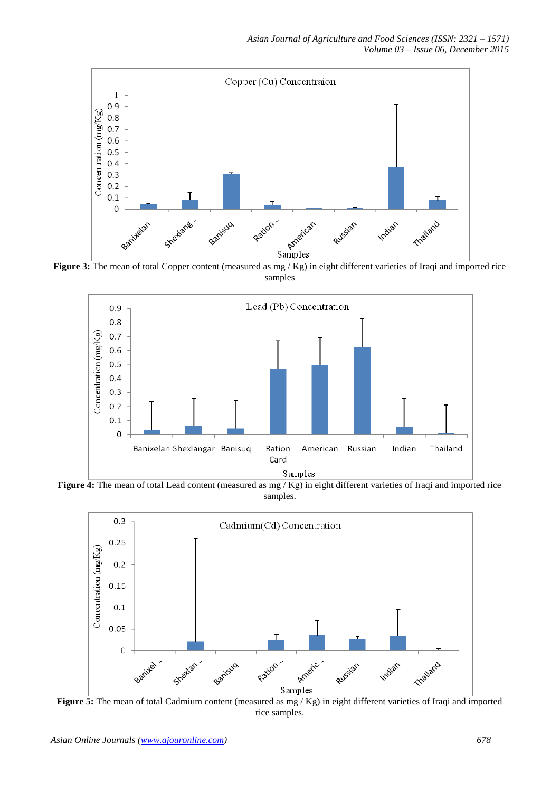

**Figure 3:** The mean of total Copper content (measured as mg / Kg) in eight different varieties of Iraqi and imported rice samples



**Figure 4:** The mean of total Lead content (measured as mg / Kg) in eight different varieties of Iraqi and imported rice samples.



**Figure 5:** The mean of total Cadmium content (measured as mg / Kg) in eight different varieties of Iraqi and imported rice samples.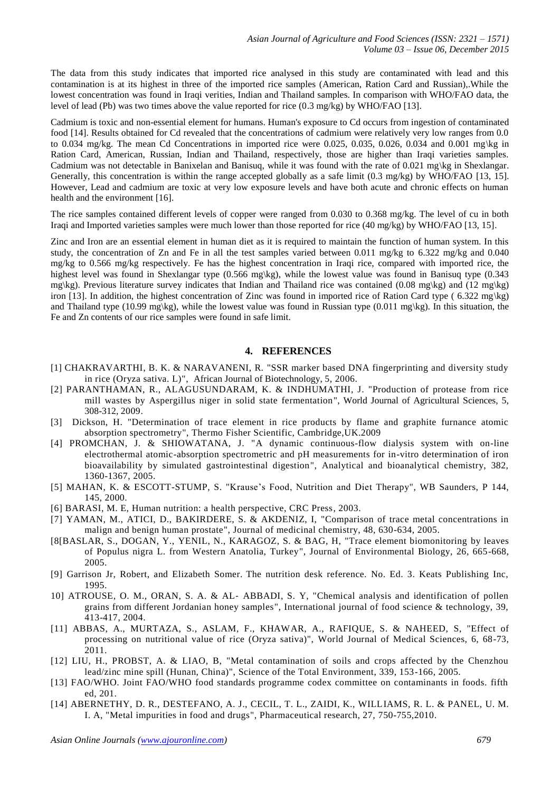The data from this study indicates that imported rice analysed in this study are contaminated with lead and this contamination is at its highest in three of the imported rice samples (American, Ration Card and Russian),.While the lowest concentration was found in Iraqi verities, Indian and Thailand samples. In comparison with WHO/FAO data, the level of lead (Pb) was two times above the value reported for rice (0.3 mg/kg) by WHO/FAO [13].

Cadmium is toxic and non-essential element for humans. Human's exposure to Cd occurs from ingestion of contaminated food [14]. Results obtained for Cd revealed that the concentrations of cadmium were relatively very low ranges from 0.0 to 0.034 mg/kg. The mean Cd Concentrations in imported rice were 0.025, 0.035, 0.026, 0.034 and 0.001 mg\kg in Ration Card, American, Russian, Indian and Thailand, respectively, those are higher than Iraqi varieties samples. Cadmium was not detectable in Banixelan and Banisuq, while it was found with the rate of 0.021 mg\kg in Shexlangar. Generally, this concentration is within the range accepted globally as a safe limit (0.3 mg/kg) by WHO/FAO [13, 15]. However, Lead and cadmium are toxic at very low exposure levels and have both acute and chronic effects on human health and the environment [16].

The rice samples contained different levels of copper were ranged from 0.030 to 0.368 mg/kg. The level of cu in both Iraqi and Imported varieties samples were much lower than those reported for rice (40 mg/kg) by WHO/FAO [13, 15].

Zinc and Iron are an essential element in human diet as it is required to maintain the function of human system. In this study, the concentration of Zn and Fe in all the test samples varied between 0.011 mg/kg to 6.322 mg/kg and 0.040 mg/kg to 0.566 mg/kg respectively. Fe has the highest concentration in Iraqi rice, compared with imported rice, the highest level was found in Shexlangar type (0.566 mg\kg), while the lowest value was found in Banisuq type (0.343 mg\kg). Previous literature survey indicates that Indian and Thailand rice was contained (0.08 mg\kg) and (12 mg\kg) iron [13]. In addition, the highest concentration of Zinc was found in imported rice of Ration Card type (6.322 mg\kg) and Thailand type (10.99 mg\kg), while the lowest value was found in Russian type (0.011 mg\kg). In this situation, the Fe and Zn contents of our rice samples were found in safe limit.

#### **4. REFERENCES**

- [1] CHAKRAVARTHI, B. K. & NARAVANENI, R. "SSR marker based DNA fingerprinting and diversity study in rice (Oryza sativa. L)", African Journal of Biotechnology, 5, 2006.
- [2] PARANTHAMAN, R., ALAGUSUNDARAM, K. & INDHUMATHI, J. "Production of protease from rice mill wastes by Aspergillus niger in solid state fermentation", World Journal of Agricultural Sciences, 5, 308-312, 2009.
- [3] Dickson, H. "Determination of trace element in rice products by flame and graphite furnance atomic absorption spectrometry", Thermo Fisher Scientific, Cambridge,UK.2009
- [4] PROMCHAN, J. & SHIOWATANA, J. "A dynamic continuous-flow dialysis system with on-line electrothermal atomic-absorption spectrometric and pH measurements for in-vitro determination of iron bioavailability by simulated gastrointestinal digestion", Analytical and bioanalytical chemistry, 382, 1360-1367, 2005.
- [5] MAHAN, K. & ESCOTT-STUMP, S. "Krause's Food, Nutrition and Diet Therapy", WB Saunders, P 144, 145, 2000.
- [6] BARASI, M. E, Human nutrition: a health perspective, CRC Press, 2003.
- [7] YAMAN, M., ATICI, D., BAKIRDERE, S. & AKDENIZ, I, "Comparison of trace metal concentrations in malign and benign human prostate", Journal of medicinal chemistry, 48, 630-634, 2005.
- [8[BASLAR, S., DOGAN, Y., YENIL, N., KARAGOZ, S. & BAG, H, "Trace element biomonitoring by leaves of Populus nigra L. from Western Anatolia, Turkey", Journal of Environmental Biology, 26, 665-668, 2005.
- [9] Garrison Jr, Robert, and Elizabeth Somer. The nutrition desk reference. No. Ed. 3. Keats Publishing Inc, 1995.
- 10] ATROUSE, O. M., ORAN, S. A. & AL‐ ABBADI, S. Y, "Chemical analysis and identification of pollen grains from different Jordanian honey samples", International journal of food science & technology, 39, 413-417, 2004.
- [11] ABBAS, A., MURTAZA, S., ASLAM, F., KHAWAR, A., RAFIQUE, S. & NAHEED, S, "Effect of processing on nutritional value of rice (Oryza sativa)", World Journal of Medical Sciences, 6, 68-73, 2011.
- [12] LIU, H., PROBST, A. & LIAO, B, "Metal contamination of soils and crops affected by the Chenzhou lead/zinc mine spill (Hunan, China)", Science of the Total Environment, 339, 153-166, 2005.
- [13] FAO/WHO. Joint FAO/WHO food standards programme codex committee on contaminants in foods. fifth ed, 201.
- [14] ABERNETHY, D. R., DESTEFANO, A. J., CECIL, T. L., ZAIDI, K., WILLIAMS, R. L. & PANEL, U. M. I. A, "Metal impurities in food and drugs", Pharmaceutical research, 27, 750-755,2010.